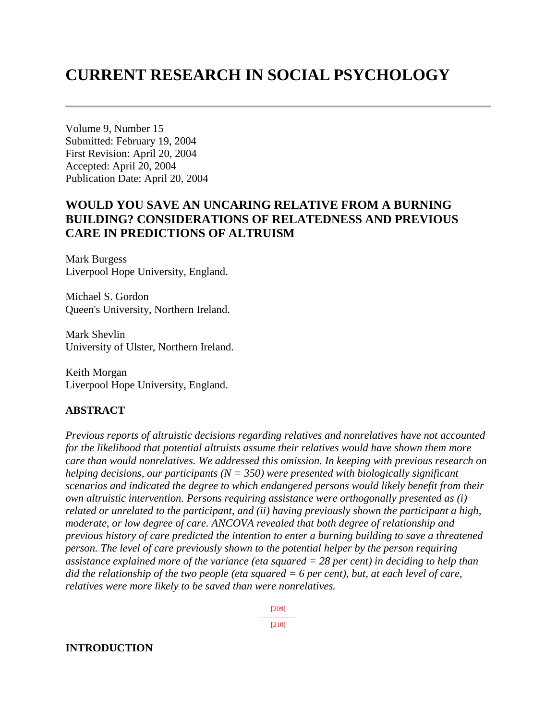# **CURRENT RESEARCH IN SOCIAL PSYCHOLOGY**

Volume 9, Number 15 Submitted: February 19, 2004 First Revision: April 20, 2004 Accepted: April 20, 2004 Publication Date: April 20, 2004

# **WOULD YOU SAVE AN UNCARING RELATIVE FROM A BURNING BUILDING? CONSIDERATIONS OF RELATEDNESS AND PREVIOUS CARE IN PREDICTIONS OF ALTRUISM**

Mark Burgess Liverpool Hope University, England.

Michael S. Gordon Queen's University, Northern Ireland.

Mark Shevlin University of Ulster, Northern Ireland.

Keith Morgan Liverpool Hope University, England.

#### **ABSTRACT**

*Previous reports of altruistic decisions regarding relatives and nonrelatives have not accounted for the likelihood that potential altruists assume their relatives would have shown them more care than would nonrelatives. We addressed this omission. In keeping with previous research on helping decisions, our participants (N = 350) were presented with biologically significant scenarios and indicated the degree to which endangered persons would likely benefit from their own altruistic intervention. Persons requiring assistance were orthogonally presented as (i) related or unrelated to the participant, and (ii) having previously shown the participant a high, moderate, or low degree of care. ANCOVA revealed that both degree of relationship and previous history of care predicted the intention to enter a burning building to save a threatened person. The level of care previously shown to the potential helper by the person requiring assistance explained more of the variance (eta squared = 28 per cent) in deciding to help than did the relationship of the two people (eta squared = 6 per cent), but, at each level of care, relatives were more likely to be saved than were nonrelatives.* 

> [209] --------------- [210]

# **INTRODUCTION**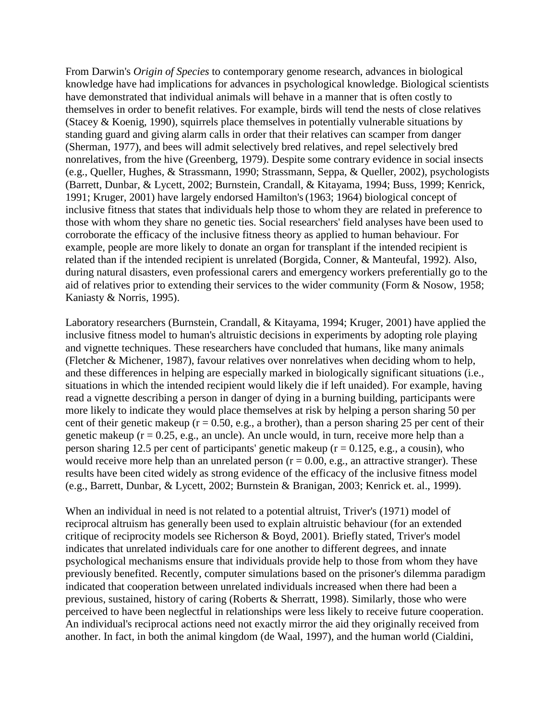From Darwin's *Origin of Species* to contemporary genome research, advances in biological knowledge have had implications for advances in psychological knowledge. Biological scientists have demonstrated that individual animals will behave in a manner that is often costly to themselves in order to benefit relatives. For example, birds will tend the nests of close relatives (Stacey & Koenig, 1990), squirrels place themselves in potentially vulnerable situations by standing guard and giving alarm calls in order that their relatives can scamper from danger (Sherman, 1977), and bees will admit selectively bred relatives, and repel selectively bred nonrelatives, from the hive (Greenberg, 1979). Despite some contrary evidence in social insects (e.g., Queller, Hughes, & Strassmann, 1990; Strassmann, Seppa, & Queller, 2002), psychologists (Barrett, Dunbar, & Lycett, 2002; Burnstein, Crandall, & Kitayama, 1994; Buss, 1999; Kenrick, 1991; Kruger, 2001) have largely endorsed Hamilton's(1963; 1964) biological concept of inclusive fitness that states that individuals help those to whom they are related in preference to those with whom they share no genetic ties. Social researchers' field analyses have been used to corroborate the efficacy of the inclusive fitness theory as applied to human behaviour. For example, people are more likely to donate an organ for transplant if the intended recipient is related than if the intended recipient is unrelated (Borgida, Conner, & Manteufal, 1992). Also, during natural disasters, even professional carers and emergency workers preferentially go to the aid of relatives prior to extending their services to the wider community (Form & Nosow, 1958; Kaniasty & Norris, 1995).

Laboratory researchers (Burnstein, Crandall, & Kitayama, 1994; Kruger, 2001) have applied the inclusive fitness model to human's altruistic decisions in experiments by adopting role playing and vignette techniques. These researchers have concluded that humans, like many animals (Fletcher & Michener, 1987), favour relatives over nonrelatives when deciding whom to help, and these differences in helping are especially marked in biologically significant situations (i.e., situations in which the intended recipient would likely die if left unaided). For example, having read a vignette describing a person in danger of dying in a burning building, participants were more likely to indicate they would place themselves at risk by helping a person sharing 50 per cent of their genetic makeup ( $r = 0.50$ , e.g., a brother), than a person sharing 25 per cent of their genetic makeup ( $r = 0.25$ , e.g., an uncle). An uncle would, in turn, receive more help than a person sharing 12.5 per cent of participants' genetic makeup ( $r = 0.125$ , e.g., a cousin), who would receive more help than an unrelated person  $(r = 0.00, e.g.,$  an attractive stranger). These results have been cited widely as strong evidence of the efficacy of the inclusive fitness model (e.g., Barrett, Dunbar, & Lycett, 2002; Burnstein & Branigan, 2003; Kenrick et. al., 1999).

When an individual in need is not related to a potential altruist, Triver's (1971) model of reciprocal altruism has generally been used to explain altruistic behaviour (for an extended critique of reciprocity models see Richerson & Boyd, 2001). Briefly stated, Triver's model indicates that unrelated individuals care for one another to different degrees, and innate psychological mechanisms ensure that individuals provide help to those from whom they have previously benefited. Recently, computer simulations based on the prisoner's dilemma paradigm indicated that cooperation between unrelated individuals increased when there had been a previous, sustained, history of caring (Roberts & Sherratt, 1998). Similarly, those who were perceived to have been neglectful in relationships were less likely to receive future cooperation. An individual's reciprocal actions need not exactly mirror the aid they originally received from another. In fact, in both the animal kingdom (de Waal, 1997), and the human world (Cialdini,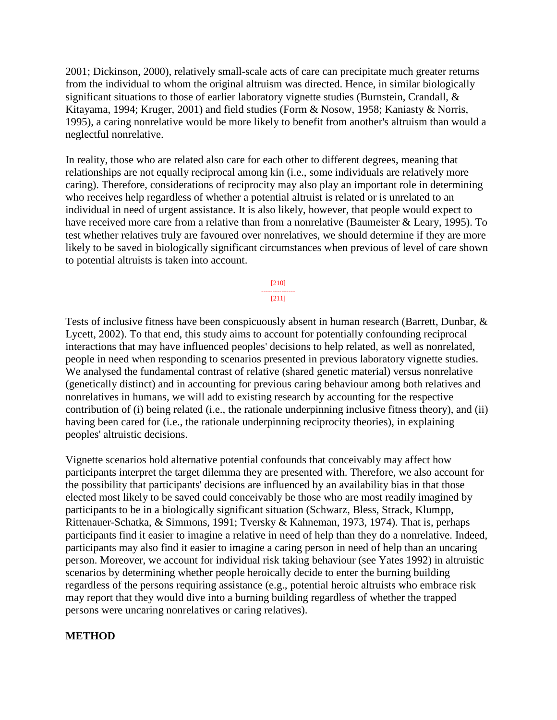2001; Dickinson, 2000), relatively small-scale acts of care can precipitate much greater returns from the individual to whom the original altruism was directed. Hence, in similar biologically significant situations to those of earlier laboratory vignette studies (Burnstein, Crandall, & Kitayama, 1994; Kruger, 2001) and field studies (Form & Nosow, 1958; Kaniasty & Norris, 1995), a caring nonrelative would be more likely to benefit from another's altruism than would a neglectful nonrelative.

In reality, those who are related also care for each other to different degrees, meaning that relationships are not equally reciprocal among kin (i.e., some individuals are relatively more caring). Therefore, considerations of reciprocity may also play an important role in determining who receives help regardless of whether a potential altruist is related or is unrelated to an individual in need of urgent assistance. It is also likely, however, that people would expect to have received more care from a relative than from a nonrelative (Baumeister & Leary, 1995). To test whether relatives truly are favoured over nonrelatives, we should determine if they are more likely to be saved in biologically significant circumstances when previous of level of care shown to potential altruists is taken into account.

> [210] --------------- [211]

Tests of inclusive fitness have been conspicuously absent in human research (Barrett, Dunbar, & Lycett, 2002). To that end, this study aims to account for potentially confounding reciprocal interactions that may have influenced peoples' decisions to help related, as well as nonrelated, people in need when responding to scenarios presented in previous laboratory vignette studies. We analysed the fundamental contrast of relative (shared genetic material) versus nonrelative (genetically distinct) and in accounting for previous caring behaviour among both relatives and nonrelatives in humans, we will add to existing research by accounting for the respective contribution of (i) being related (i.e., the rationale underpinning inclusive fitness theory), and (ii) having been cared for (i.e., the rationale underpinning reciprocity theories), in explaining peoples' altruistic decisions.

Vignette scenarios hold alternative potential confounds that conceivably may affect how participants interpret the target dilemma they are presented with. Therefore, we also account for the possibility that participants' decisions are influenced by an availability bias in that those elected most likely to be saved could conceivably be those who are most readily imagined by participants to be in a biologically significant situation (Schwarz, Bless, Strack, Klumpp, Rittenauer-Schatka, & Simmons, 1991; Tversky & Kahneman, 1973, 1974). That is, perhaps participants find it easier to imagine a relative in need of help than they do a nonrelative. Indeed, participants may also find it easier to imagine a caring person in need of help than an uncaring person. Moreover, we account for individual risk taking behaviour (see Yates 1992) in altruistic scenarios by determining whether people heroically decide to enter the burning building regardless of the persons requiring assistance (e.g., potential heroic altruists who embrace risk may report that they would dive into a burning building regardless of whether the trapped persons were uncaring nonrelatives or caring relatives).

#### **METHOD**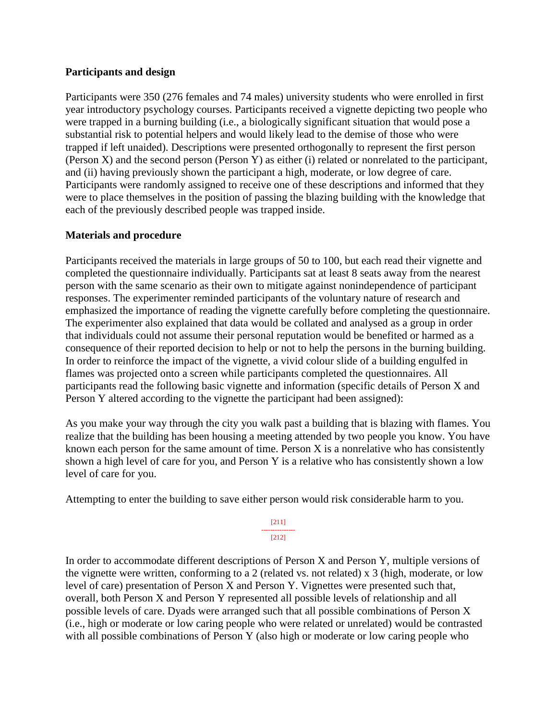#### **Participants and design**

Participants were 350 (276 females and 74 males) university students who were enrolled in first year introductory psychology courses. Participants received a vignette depicting two people who were trapped in a burning building (i.e., a biologically significant situation that would pose a substantial risk to potential helpers and would likely lead to the demise of those who were trapped if left unaided). Descriptions were presented orthogonally to represent the first person (Person X) and the second person (Person Y) as either (i) related or nonrelated to the participant, and (ii) having previously shown the participant a high, moderate, or low degree of care. Participants were randomly assigned to receive one of these descriptions and informed that they were to place themselves in the position of passing the blazing building with the knowledge that each of the previously described people was trapped inside.

#### **Materials and procedure**

Participants received the materials in large groups of 50 to 100, but each read their vignette and completed the questionnaire individually. Participants sat at least 8 seats away from the nearest person with the same scenario as their own to mitigate against nonindependence of participant responses. The experimenter reminded participants of the voluntary nature of research and emphasized the importance of reading the vignette carefully before completing the questionnaire. The experimenter also explained that data would be collated and analysed as a group in order that individuals could not assume their personal reputation would be benefited or harmed as a consequence of their reported decision to help or not to help the persons in the burning building. In order to reinforce the impact of the vignette, a vivid colour slide of a building engulfed in flames was projected onto a screen while participants completed the questionnaires. All participants read the following basic vignette and information (specific details of Person X and Person Y altered according to the vignette the participant had been assigned):

As you make your way through the city you walk past a building that is blazing with flames. You realize that the building has been housing a meeting attended by two people you know. You have known each person for the same amount of time. Person  $X$  is a nonrelative who has consistently shown a high level of care for you, and Person Y is a relative who has consistently shown a low level of care for you.

Attempting to enter the building to save either person would risk considerable harm to you.

[211] --------------- [212]

In order to accommodate different descriptions of Person X and Person Y, multiple versions of the vignette were written, conforming to a 2 (related vs. not related) x 3 (high, moderate, or low level of care) presentation of Person X and Person Y. Vignettes were presented such that, overall, both Person X and Person Y represented all possible levels of relationship and all possible levels of care. Dyads were arranged such that all possible combinations of Person X (i.e., high or moderate or low caring people who were related or unrelated) would be contrasted with all possible combinations of Person Y (also high or moderate or low caring people who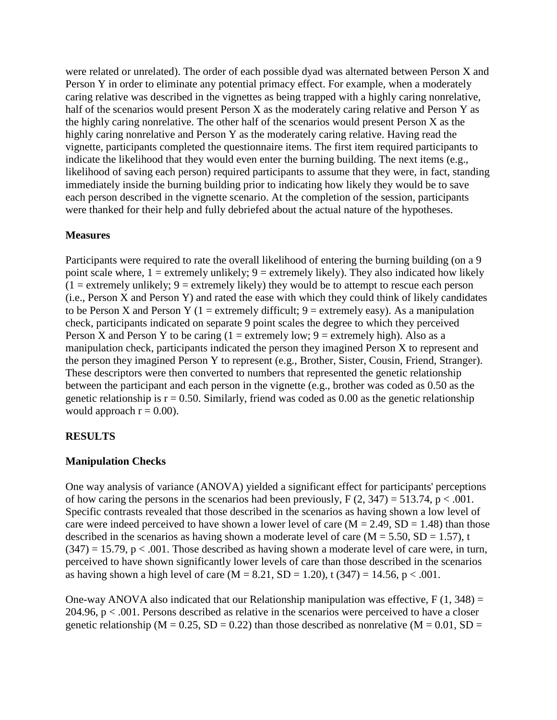were related or unrelated). The order of each possible dyad was alternated between Person X and Person Y in order to eliminate any potential primacy effect. For example, when a moderately caring relative was described in the vignettes as being trapped with a highly caring nonrelative, half of the scenarios would present Person X as the moderately caring relative and Person Y as the highly caring nonrelative. The other half of the scenarios would present Person X as the highly caring nonrelative and Person Y as the moderately caring relative. Having read the vignette, participants completed the questionnaire items. The first item required participants to indicate the likelihood that they would even enter the burning building. The next items (e.g., likelihood of saving each person) required participants to assume that they were, in fact, standing immediately inside the burning building prior to indicating how likely they would be to save each person described in the vignette scenario. At the completion of the session, participants were thanked for their help and fully debriefed about the actual nature of the hypotheses.

#### **Measures**

Participants were required to rate the overall likelihood of entering the burning building (on a 9 point scale where,  $1 =$  extremely unlikely;  $9 =$  extremely likely). They also indicated how likely  $(1 =$  extremely unlikely;  $9 =$  extremely likely) they would be to attempt to rescue each person (i.e., Person X and Person Y) and rated the ease with which they could think of likely candidates to be Person X and Person Y (1 = extremely difficult;  $9$  = extremely easy). As a manipulation check, participants indicated on separate 9 point scales the degree to which they perceived Person X and Person Y to be caring  $(1 =$  extremely low;  $9 =$  extremely high). Also as a manipulation check, participants indicated the person they imagined Person X to represent and the person they imagined Person Y to represent (e.g., Brother, Sister, Cousin, Friend, Stranger). These descriptors were then converted to numbers that represented the genetic relationship between the participant and each person in the vignette (e.g., brother was coded as 0.50 as the genetic relationship is  $r = 0.50$ . Similarly, friend was coded as 0.00 as the genetic relationship would approach  $r = 0.00$ ).

# **RESULTS**

#### **Manipulation Checks**

One way analysis of variance (ANOVA) yielded a significant effect for participants' perceptions of how caring the persons in the scenarios had been previously,  $F(2, 347) = 513.74$ ,  $p < .001$ . Specific contrasts revealed that those described in the scenarios as having shown a low level of care were indeed perceived to have shown a lower level of care  $(M = 2.49, SD = 1.48)$  than those described in the scenarios as having shown a moderate level of care  $(M = 5.50, SD = 1.57)$ , t  $(347) = 15.79$ ,  $p < .001$ . Those described as having shown a moderate level of care were, in turn, perceived to have shown significantly lower levels of care than those described in the scenarios as having shown a high level of care  $(M = 8.21, SD = 1.20)$ , t  $(347) = 14.56, p < .001$ .

One-way ANOVA also indicated that our Relationship manipulation was effective,  $F(1, 348) =$ 204.96,  $p < .001$ . Persons described as relative in the scenarios were perceived to have a closer genetic relationship ( $M = 0.25$ ,  $SD = 0.22$ ) than those described as nonrelative ( $M = 0.01$ ,  $SD =$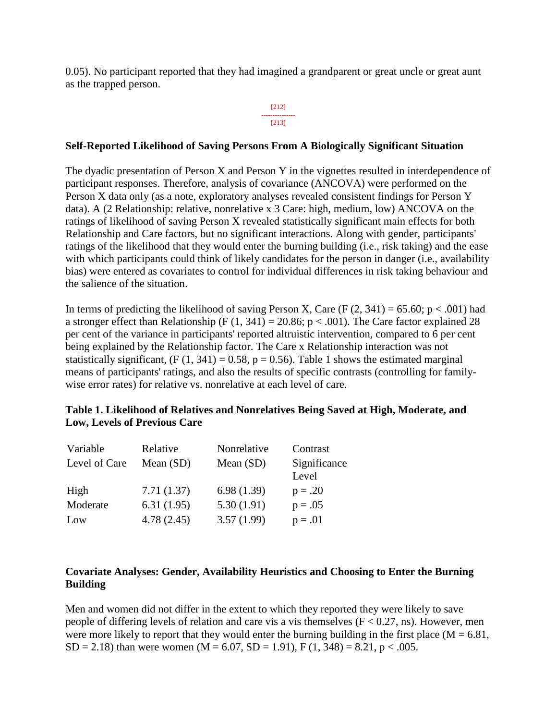0.05). No participant reported that they had imagined a grandparent or great uncle or great aunt as the trapped person.

#### [212] --------------- [213]

#### **Self-Reported Likelihood of Saving Persons From A Biologically Significant Situation**

The dyadic presentation of Person X and Person Y in the vignettes resulted in interdependence of participant responses. Therefore, analysis of covariance (ANCOVA) were performed on the Person X data only (as a note, exploratory analyses revealed consistent findings for Person Y data). A (2 Relationship: relative, nonrelative x 3 Care: high, medium, low) ANCOVA on the ratings of likelihood of saving Person X revealed statistically significant main effects for both Relationship and Care factors, but no significant interactions. Along with gender, participants' ratings of the likelihood that they would enter the burning building (i.e., risk taking) and the ease with which participants could think of likely candidates for the person in danger (i.e., availability bias) were entered as covariates to control for individual differences in risk taking behaviour and the salience of the situation.

In terms of predicting the likelihood of saving Person X, Care (F  $(2, 341) = 65.60$ ; p < .001) had a stronger effect than Relationship (F  $(1, 341) = 20.86$ ; p < .001). The Care factor explained 28 per cent of the variance in participants' reported altruistic intervention, compared to 6 per cent being explained by the Relationship factor. The Care x Relationship interaction was not statistically significant,  $(F (1, 341) = 0.58, p = 0.56)$ . Table 1 shows the estimated marginal means of participants' ratings, and also the results of specific contrasts (controlling for familywise error rates) for relative vs. nonrelative at each level of care.

#### **Table 1. Likelihood of Relatives and Nonrelatives Being Saved at High, Moderate, and Low, Levels of Previous Care**

| Variable      | Relative    | Nonrelative | Contrast              |
|---------------|-------------|-------------|-----------------------|
| Level of Care | Mean $(SD)$ | Mean (SD)   | Significance<br>Level |
| High          | 7.71(1.37)  | 6.98(1.39)  | $p = .20$             |
| Moderate      | 6.31(1.95)  | 5.30(1.91)  | $p = .05$             |
| Low           | 4.78(2.45)  | 3.57(1.99)  | $p = .01$             |

#### **Covariate Analyses: Gender, Availability Heuristics and Choosing to Enter the Burning Building**

Men and women did not differ in the extent to which they reported they were likely to save people of differing levels of relation and care vis a vis themselves  $(F < 0.27, ns)$ . However, men were more likely to report that they would enter the burning building in the first place ( $M = 6.81$ ,  $SD = 2.18$ ) than were women (M = 6.07, SD = 1.91), F (1, 348) = 8.21, p < .005.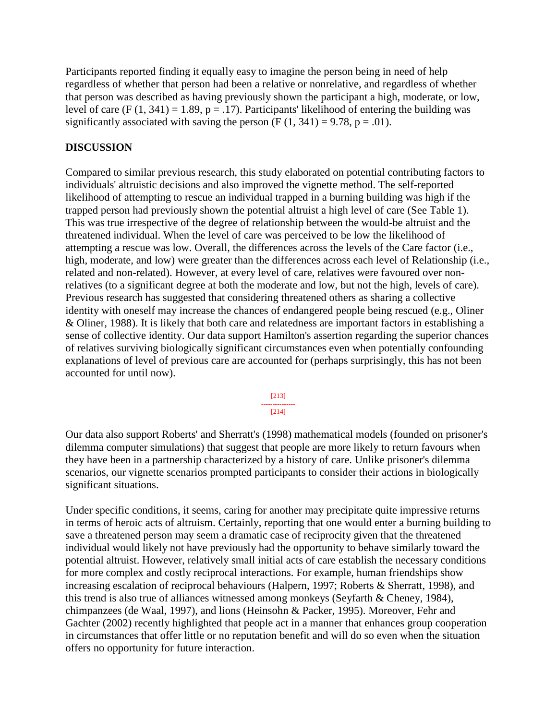Participants reported finding it equally easy to imagine the person being in need of help regardless of whether that person had been a relative or nonrelative, and regardless of whether that person was described as having previously shown the participant a high, moderate, or low, level of care (F  $(1, 341) = 1.89$ , p = .17). Participants' likelihood of entering the building was significantly associated with saving the person  $(F (1, 341) = 9.78, p = .01)$ .

### **DISCUSSION**

Compared to similar previous research, this study elaborated on potential contributing factors to individuals' altruistic decisions and also improved the vignette method. The self-reported likelihood of attempting to rescue an individual trapped in a burning building was high if the trapped person had previously shown the potential altruist a high level of care (See Table 1). This was true irrespective of the degree of relationship between the would-be altruist and the threatened individual. When the level of care was perceived to be low the likelihood of attempting a rescue was low. Overall, the differences across the levels of the Care factor (i.e., high, moderate, and low) were greater than the differences across each level of Relationship (i.e., related and non-related). However, at every level of care, relatives were favoured over nonrelatives (to a significant degree at both the moderate and low, but not the high, levels of care). Previous research has suggested that considering threatened others as sharing a collective identity with oneself may increase the chances of endangered people being rescued (e.g., Oliner & Oliner, 1988). It is likely that both care and relatedness are important factors in establishing a sense of collective identity. Our data support Hamilton's assertion regarding the superior chances of relatives surviving biologically significant circumstances even when potentially confounding explanations of level of previous care are accounted for (perhaps surprisingly, this has not been accounted for until now).

> [213] --------------- [214]

Our data also support Roberts' and Sherratt's (1998) mathematical models (founded on prisoner's dilemma computer simulations) that suggest that people are more likely to return favours when they have been in a partnership characterized by a history of care. Unlike prisoner's dilemma scenarios, our vignette scenarios prompted participants to consider their actions in biologically significant situations.

Under specific conditions, it seems, caring for another may precipitate quite impressive returns in terms of heroic acts of altruism. Certainly, reporting that one would enter a burning building to save a threatened person may seem a dramatic case of reciprocity given that the threatened individual would likely not have previously had the opportunity to behave similarly toward the potential altruist. However, relatively small initial acts of care establish the necessary conditions for more complex and costly reciprocal interactions. For example, human friendships show increasing escalation of reciprocal behaviours (Halpern, 1997; Roberts & Sherratt, 1998), and this trend is also true of alliances witnessed among monkeys (Seyfarth & Cheney, 1984), chimpanzees (de Waal, 1997), and lions (Heinsohn & Packer, 1995). Moreover, Fehr and Gachter (2002) recently highlighted that people act in a manner that enhances group cooperation in circumstances that offer little or no reputation benefit and will do so even when the situation offers no opportunity for future interaction.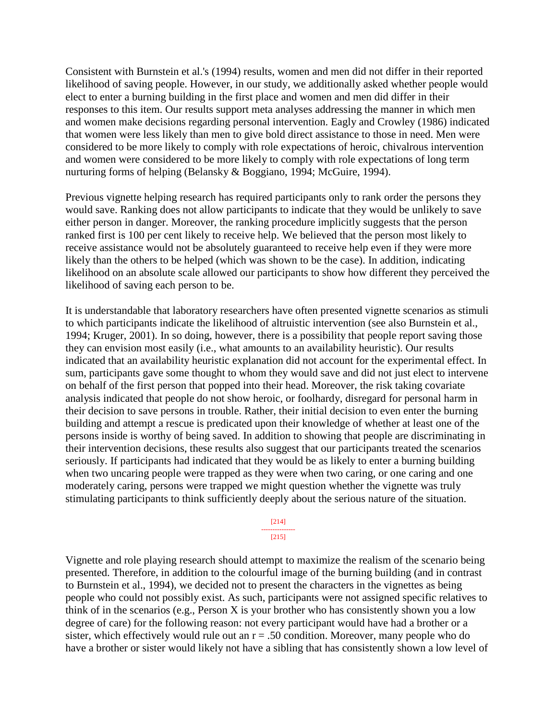Consistent with Burnstein et al.'s (1994) results, women and men did not differ in their reported likelihood of saving people. However, in our study, we additionally asked whether people would elect to enter a burning building in the first place and women and men did differ in their responses to this item. Our results support meta analyses addressing the manner in which men and women make decisions regarding personal intervention. Eagly and Crowley (1986) indicated that women were less likely than men to give bold direct assistance to those in need. Men were considered to be more likely to comply with role expectations of heroic, chivalrous intervention and women were considered to be more likely to comply with role expectations of long term nurturing forms of helping (Belansky & Boggiano, 1994; McGuire, 1994).

Previous vignette helping research has required participants only to rank order the persons they would save. Ranking does not allow participants to indicate that they would be unlikely to save either person in danger. Moreover, the ranking procedure implicitly suggests that the person ranked first is 100 per cent likely to receive help. We believed that the person most likely to receive assistance would not be absolutely guaranteed to receive help even if they were more likely than the others to be helped (which was shown to be the case). In addition, indicating likelihood on an absolute scale allowed our participants to show how different they perceived the likelihood of saving each person to be.

It is understandable that laboratory researchers have often presented vignette scenarios as stimuli to which participants indicate the likelihood of altruistic intervention (see also Burnstein et al., 1994; Kruger, 2001). In so doing, however, there is a possibility that people report saving those they can envision most easily (i.e., what amounts to an availability heuristic). Our results indicated that an availability heuristic explanation did not account for the experimental effect. In sum, participants gave some thought to whom they would save and did not just elect to intervene on behalf of the first person that popped into their head. Moreover, the risk taking covariate analysis indicated that people do not show heroic, or foolhardy, disregard for personal harm in their decision to save persons in trouble. Rather, their initial decision to even enter the burning building and attempt a rescue is predicated upon their knowledge of whether at least one of the persons inside is worthy of being saved. In addition to showing that people are discriminating in their intervention decisions, these results also suggest that our participants treated the scenarios seriously. If participants had indicated that they would be as likely to enter a burning building when two uncaring people were trapped as they were when two caring, or one caring and one moderately caring, persons were trapped we might question whether the vignette was truly stimulating participants to think sufficiently deeply about the serious nature of the situation.

> [214] ---------------

[215]

Vignette and role playing research should attempt to maximize the realism of the scenario being presented. Therefore, in addition to the colourful image of the burning building (and in contrast to Burnstein et al., 1994), we decided not to present the characters in the vignettes as being people who could not possibly exist. As such, participants were not assigned specific relatives to think of in the scenarios (e.g., Person X is your brother who has consistently shown you a low degree of care) for the following reason: not every participant would have had a brother or a sister, which effectively would rule out an  $r = .50$  condition. Moreover, many people who do have a brother or sister would likely not have a sibling that has consistently shown a low level of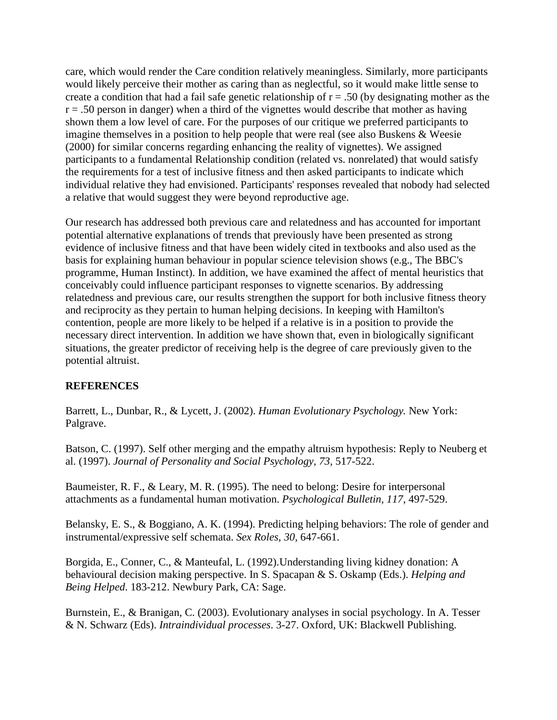care, which would render the Care condition relatively meaningless. Similarly, more participants would likely perceive their mother as caring than as neglectful, so it would make little sense to create a condition that had a fail safe genetic relationship of  $r = .50$  (by designating mother as the  $r = .50$  person in danger) when a third of the vignettes would describe that mother as having shown them a low level of care. For the purposes of our critique we preferred participants to imagine themselves in a position to help people that were real (see also Buskens & Weesie (2000) for similar concerns regarding enhancing the reality of vignettes). We assigned participants to a fundamental Relationship condition (related vs. nonrelated) that would satisfy the requirements for a test of inclusive fitness and then asked participants to indicate which individual relative they had envisioned. Participants' responses revealed that nobody had selected a relative that would suggest they were beyond reproductive age.

Our research has addressed both previous care and relatedness and has accounted for important potential alternative explanations of trends that previously have been presented as strong evidence of inclusive fitness and that have been widely cited in textbooks and also used as the basis for explaining human behaviour in popular science television shows (e.g., The BBC's programme, Human Instinct). In addition, we have examined the affect of mental heuristics that conceivably could influence participant responses to vignette scenarios. By addressing relatedness and previous care, our results strengthen the support for both inclusive fitness theory and reciprocity as they pertain to human helping decisions. In keeping with Hamilton's contention, people are more likely to be helped if a relative is in a position to provide the necessary direct intervention. In addition we have shown that, even in biologically significant situations, the greater predictor of receiving help is the degree of care previously given to the potential altruist.

# **REFERENCES**

Barrett, L., Dunbar, R., & Lycett, J. (2002). *Human Evolutionary Psychology.* New York: Palgrave.

Batson, C. (1997). Self other merging and the empathy altruism hypothesis: Reply to Neuberg et al. (1997). *Journal of Personality and Social Psychology, 73,* 517-522.

Baumeister, R. F., & Leary, M. R. (1995). The need to belong: Desire for interpersonal attachments as a fundamental human motivation. *Psychological Bulletin, 117*, 497-529.

Belansky, E. S., & Boggiano, A. K. (1994). Predicting helping behaviors: The role of gender and instrumental/expressive self schemata. *Sex Roles, 30,* 647-661.

Borgida, E., Conner, C., & Manteufal, L. (1992).Understanding living kidney donation: A behavioural decision making perspective. In S. Spacapan & S. Oskamp (Eds.). *Helping and Being Helped*. 183-212. Newbury Park, CA: Sage.

Burnstein, E., & Branigan, C. (2003). Evolutionary analyses in social psychology. In A. Tesser & N. Schwarz (Eds). *Intraindividual processes*. 3-27. Oxford, UK: Blackwell Publishing.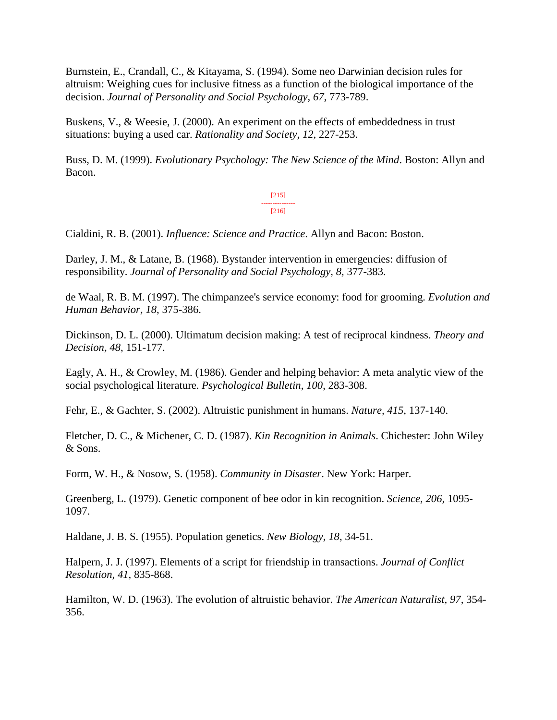Burnstein, E., Crandall, C., & Kitayama, S. (1994). Some neo Darwinian decision rules for altruism: Weighing cues for inclusive fitness as a function of the biological importance of the decision. *Journal of Personality and Social Psychology, 67,* 773-789.

Buskens, V., & Weesie, J. (2000). An experiment on the effects of embeddedness in trust situations: buying a used car. *Rationality and Society, 12,* 227-253.

Buss, D. M. (1999). *Evolutionary Psychology: The New Science of the Mind*. Boston: Allyn and Bacon.

> [215] --------------- [216]

Cialdini, R. B. (2001). *Influence: Science and Practice*. Allyn and Bacon: Boston.

Darley, J. M., & Latane, B. (1968). Bystander intervention in emergencies: diffusion of responsibility. *Journal of Personality and Social Psychology, 8,* 377-383.

de Waal, R. B. M. (1997). The chimpanzee's service economy: food for grooming. *Evolution and Human Behavior, 18*, 375-386.

Dickinson, D. L. (2000). Ultimatum decision making: A test of reciprocal kindness. *Theory and Decision, 48*, 151-177.

Eagly, A. H., & Crowley, M. (1986). Gender and helping behavior: A meta analytic view of the social psychological literature. *Psychological Bulletin, 100*, 283-308.

Fehr, E., & Gachter, S. (2002). Altruistic punishment in humans. *Nature, 415,* 137-140.

Fletcher, D. C., & Michener, C. D. (1987). *Kin Recognition in Animals*. Chichester: John Wiley & Sons.

Form, W. H., & Nosow, S. (1958). *Community in Disaster*. New York: Harper.

Greenberg, L. (1979). Genetic component of bee odor in kin recognition. *Science, 206,* 1095- 1097.

Haldane, J. B. S. (1955). Population genetics. *New Biology, 18*, 34-51.

Halpern, J. J. (1997). Elements of a script for friendship in transactions. *Journal of Conflict Resolution, 41*, 835-868.

Hamilton, W. D. (1963). The evolution of altruistic behavior. *The American Naturalist, 97,* 354- 356.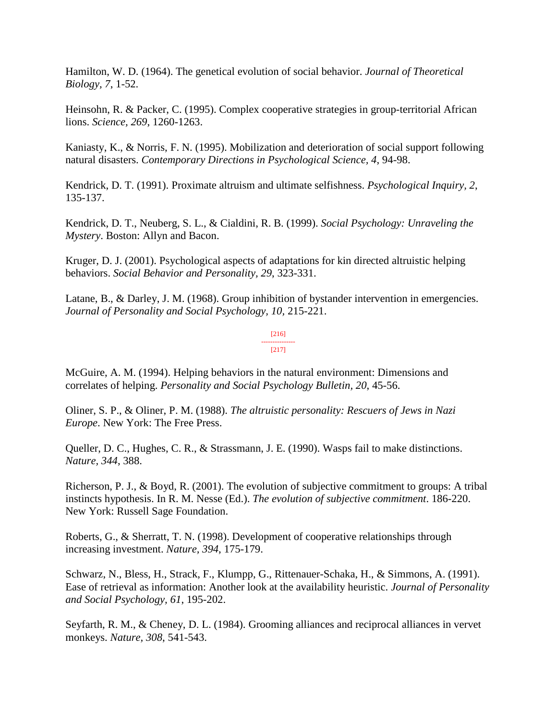Hamilton, W. D. (1964). The genetical evolution of social behavior. *Journal of Theoretical Biology, 7*, 1-52.

Heinsohn, R. & Packer, C. (1995). Complex cooperative strategies in group-territorial African lions. *Science, 269*, 1260-1263.

Kaniasty, K., & Norris, F. N. (1995). Mobilization and deterioration of social support following natural disasters. *Contemporary Directions in Psychological Science, 4*, 94-98.

Kendrick, D. T. (1991). Proximate altruism and ultimate selfishness. *Psychological Inquiry, 2*, 135-137.

Kendrick, D. T., Neuberg, S. L., & Cialdini, R. B. (1999). *Social Psychology: Unraveling the Mystery*. Boston: Allyn and Bacon.

Kruger, D. J. (2001). Psychological aspects of adaptations for kin directed altruistic helping behaviors. *Social Behavior and Personality, 29*, 323-331.

Latane, B., & Darley, J. M. (1968). Group inhibition of bystander intervention in emergencies. *Journal of Personality and Social Psychology, 10,* 215-221.

> [216] --------------- [217]

McGuire, A. M. (1994). Helping behaviors in the natural environment: Dimensions and correlates of helping. *Personality and Social Psychology Bulletin, 20*, 45-56.

Oliner, S. P., & Oliner, P. M. (1988). *The altruistic personality: Rescuers of Jews in Nazi Europe*. New York: The Free Press.

Queller, D. C., Hughes, C. R., & Strassmann, J. E. (1990). Wasps fail to make distinctions. *Nature, 344*, 388.

Richerson, P. J., & Boyd, R. (2001). The evolution of subjective commitment to groups: A tribal instincts hypothesis. In R. M. Nesse (Ed.). *The evolution of subjective commitment*. 186-220. New York: Russell Sage Foundation.

Roberts, G., & Sherratt, T. N. (1998). Development of cooperative relationships through increasing investment. *Nature, 394*, 175-179.

Schwarz, N., Bless, H., Strack, F., Klumpp, G., Rittenauer-Schaka, H., & Simmons, A. (1991). Ease of retrieval as information: Another look at the availability heuristic. *Journal of Personality and Social Psychology, 61*, 195-202.

Seyfarth, R. M., & Cheney, D. L. (1984). Grooming alliances and reciprocal alliances in vervet monkeys. *Nature, 308*, 541-543.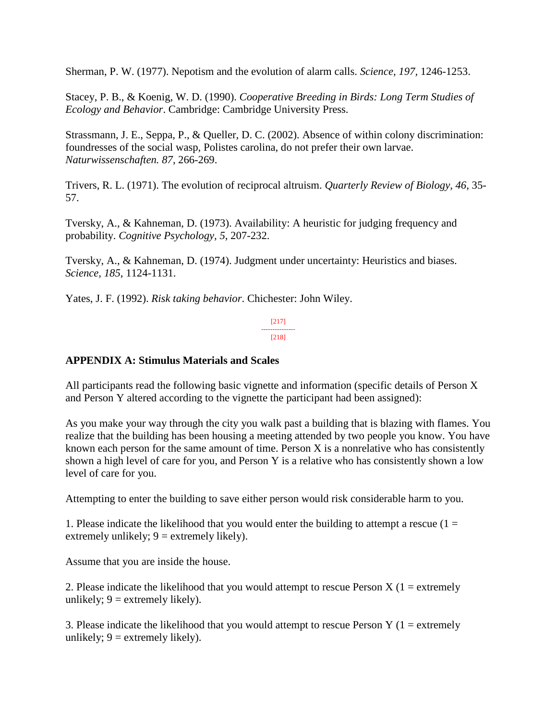Sherman, P. W. (1977). Nepotism and the evolution of alarm calls. *Science, 197,* 1246-1253.

Stacey, P. B., & Koenig, W. D. (1990). *Cooperative Breeding in Birds: Long Term Studies of Ecology and Behavior*. Cambridge: Cambridge University Press.

Strassmann, J. E., Seppa, P., & Queller, D. C. (2002). Absence of within colony discrimination: foundresses of the social wasp, Polistes carolina, do not prefer their own larvae. *Naturwissenschaften. 87*, 266-269.

Trivers, R. L. (1971). The evolution of reciprocal altruism. *Quarterly Review of Biology, 46*, 35- 57.

Tversky, A., & Kahneman, D. (1973). Availability: A heuristic for judging frequency and probability. *Cognitive Psychology, 5*, 207-232.

Tversky, A., & Kahneman, D. (1974). Judgment under uncertainty: Heuristics and biases. *Science, 185*, 1124-1131.

Yates, J. F. (1992). *Risk taking behavior*. Chichester: John Wiley.

[217] --------------- [218]

# **APPENDIX A: Stimulus Materials and Scales**

All participants read the following basic vignette and information (specific details of Person X and Person Y altered according to the vignette the participant had been assigned):

As you make your way through the city you walk past a building that is blazing with flames. You realize that the building has been housing a meeting attended by two people you know. You have known each person for the same amount of time. Person X is a nonrelative who has consistently shown a high level of care for you, and Person Y is a relative who has consistently shown a low level of care for you.

Attempting to enter the building to save either person would risk considerable harm to you.

1. Please indicate the likelihood that you would enter the building to attempt a rescue  $(1 =$ extremely unlikely;  $9 =$  extremely likely).

Assume that you are inside the house.

2. Please indicate the likelihood that you would attempt to rescue Person  $X(1 =$  extremely unlikely;  $9 =$  extremely likely).

3. Please indicate the likelihood that you would attempt to rescue Person Y ( $1 =$  extremely unlikely;  $9 =$  extremely likely).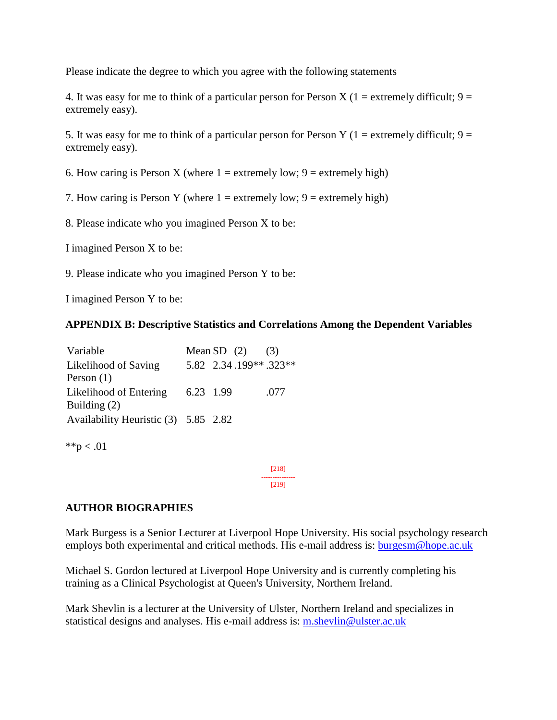Please indicate the degree to which you agree with the following statements

4. It was easy for me to think of a particular person for Person X (1 = extremely difficult;  $9 =$ extremely easy).

5. It was easy for me to think of a particular person for Person Y (1 = extremely difficult;  $9 =$ extremely easy).

6. How caring is Person X (where  $1 =$  extremely low;  $9 =$  extremely high)

7. How caring is Person Y (where  $1 =$  extremely low;  $9 =$  extremely high)

8. Please indicate who you imagined Person X to be:

I imagined Person X to be:

9. Please indicate who you imagined Person Y to be:

I imagined Person Y to be:

#### **APPENDIX B: Descriptive Statistics and Correlations Among the Dependent Variables**

| Variable                                 |           | Mean SD $(2)$         | (3)  |
|------------------------------------------|-----------|-----------------------|------|
| Likelihood of Saving<br>Person $(1)$     |           | 5.82 2.34.199**.323** |      |
| Likelihood of Entering<br>Building $(2)$ | 6.23 1.99 |                       | .077 |
| Availability Heuristic (3) 5.85 2.82     |           |                       |      |
| **p $< .01$                              |           |                       |      |

[218] --------------- [219]

**AUTHOR BIOGRAPHIES**

Mark Burgess is a Senior Lecturer at Liverpool Hope University. His social psychology research employs both experimental and critical methods. His e-mail address is: [burgesm@hope.ac.uk](mailto:burgesm@hope.ac.uk)

Michael S. Gordon lectured at Liverpool Hope University and is currently completing his training as a Clinical Psychologist at Queen's University, Northern Ireland.

Mark Shevlin is a lecturer at the University of Ulster, Northern Ireland and specializes in statistical designs and analyses. His e-mail address is: [m.shevlin@ulster.ac.uk](mailto:m.shevlin@ulster.ac.uk)